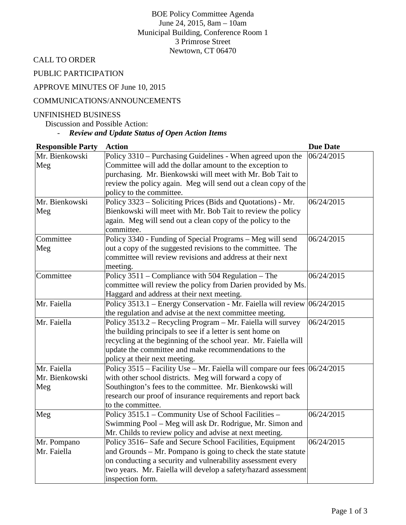BOE Policy Committee Agenda June 24, 2015, 8am – 10am Municipal Building, Conference Room 1 3 Primrose Street Newtown, CT 06470

CALL TO ORDER

PUBLIC PARTICIPATION

# APPROVE MINUTES OF June 10, 2015

#### COMMUNICATIONS/ANNOUNCEMENTS

#### UNFINISHED BUSINESS

Discussion and Possible Action:

# - *Review and Update Status of Open Action Items*

| <b>Responsible Party</b> | <b>Action</b>                                                                 | <b>Due Date</b> |
|--------------------------|-------------------------------------------------------------------------------|-----------------|
| Mr. Bienkowski           | Policy 3310 – Purchasing Guidelines - When agreed upon the                    | 06/24/2015      |
| Meg                      | Committee will add the dollar amount to the exception to                      |                 |
|                          | purchasing. Mr. Bienkowski will meet with Mr. Bob Tait to                     |                 |
|                          | review the policy again. Meg will send out a clean copy of the                |                 |
|                          | policy to the committee.                                                      |                 |
| Mr. Bienkowski           | Policy 3323 – Soliciting Prices (Bids and Quotations) - Mr.                   | 06/24/2015      |
| Meg                      | Bienkowski will meet with Mr. Bob Tait to review the policy                   |                 |
|                          | again. Meg will send out a clean copy of the policy to the                    |                 |
|                          | committee.                                                                    |                 |
| Committee                | Policy 3340 - Funding of Special Programs – Meg will send                     | 06/24/2015      |
| Meg                      | out a copy of the suggested revisions to the committee. The                   |                 |
|                          | committee will review revisions and address at their next                     |                 |
|                          | meeting.                                                                      |                 |
| Committee                | Policy $3511$ – Compliance with 504 Regulation – The                          | 06/24/2015      |
|                          | committee will review the policy from Darien provided by Ms.                  |                 |
|                          | Haggard and address at their next meeting.                                    |                 |
| Mr. Faiella              | Policy 3513.1 – Energy Conservation - Mr. Faiella will review $ 06/24/2015$   |                 |
|                          | the regulation and advise at the next committee meeting.                      |                 |
| Mr. Faiella              | Policy 3513.2 – Recycling Program – Mr. Faiella will survey                   | 06/24/2015      |
|                          | the building principals to see if a letter is sent home on                    |                 |
|                          | recycling at the beginning of the school year. Mr. Faiella will               |                 |
|                          | update the committee and make recommendations to the                          |                 |
|                          | policy at their next meeting.                                                 |                 |
| Mr. Faiella              | Policy 3515 – Facility Use – Mr. Faiella will compare our fees $ 06/24/2015 $ |                 |
| Mr. Bienkowski           | with other school districts. Meg will forward a copy of                       |                 |
| Meg                      | Southington's fees to the committee. Mr. Bienkowski will                      |                 |
|                          | research our proof of insurance requirements and report back                  |                 |
|                          | to the committee.                                                             |                 |
| Meg                      | Policy 3515.1 - Community Use of School Facilities -                          | 06/24/2015      |
|                          | Swimming Pool – Meg will ask Dr. Rodrigue, Mr. Simon and                      |                 |
|                          | Mr. Childs to review policy and advise at next meeting.                       |                 |
| Mr. Pompano              | Policy 3516– Safe and Secure School Facilities, Equipment                     | 06/24/2015      |
| Mr. Faiella              | and Grounds – Mr. Pompano is going to check the state statute                 |                 |
|                          | on conducting a security and vulnerability assessment every                   |                 |
|                          | two years. Mr. Faiella will develop a safety/hazard assessment                |                 |
|                          | inspection form.                                                              |                 |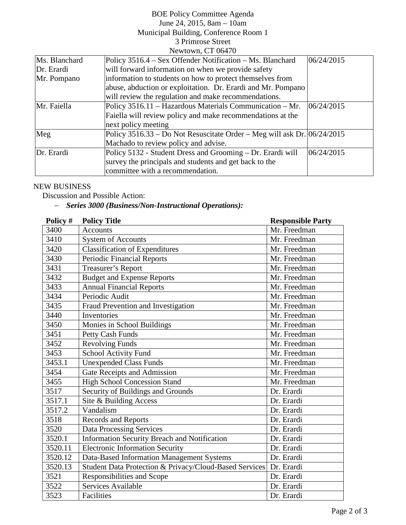#### BOE Policy Committee Agenda June 24, 2015, 8am – 10am Municipal Building, Conference Room 1 3 Primrose Street Newtown, CT 06470

|               | $110W0W11. 100T1V$                                                            |            |
|---------------|-------------------------------------------------------------------------------|------------|
| Ms. Blanchard | Policy 3516.4 – Sex Offender Notification – Ms. Blanchard                     | 06/24/2015 |
| Dr. Erardi    | will forward information on when we provide safety                            |            |
| Mr. Pompano   | information to students on how to protect themselves from                     |            |
|               | abuse, abduction or exploitation. Dr. Erardi and Mr. Pompano                  |            |
|               | will review the regulation and make recommendations.                          |            |
| Mr. Faiella   | Policy 3516.11 - Hazardous Materials Communication - Mr.                      | 06/24/2015 |
|               | Faiella will review policy and make recommendations at the                    |            |
|               | next policy meeting                                                           |            |
| Meg           | Policy $3516.33 - Do$ Not Resuscitate Order – Meg will ask Dr. $[06/24/2015]$ |            |
|               | Machado to review policy and advise.                                          |            |
| Dr. Erardi    | Policy 5132 - Student Dress and Grooming – Dr. Erardi will                    | 06/24/2015 |
|               | survey the principals and students and get back to the                        |            |
|               | committee with a recommendation.                                              |            |

### NEW BUSINESS

Discussion and Possible Action:

# − *Series 3000 (Business/Non-Instructional Operations):*

| Policy # | <b>Policy Title</b>                                    | <b>Responsible Party</b> |
|----------|--------------------------------------------------------|--------------------------|
| 3400     | <b>Accounts</b>                                        | Mr. Freedman             |
| 3410     | <b>System of Accounts</b>                              | Mr. Freedman             |
| 3420     | <b>Classification of Expenditures</b>                  | Mr. Freedman             |
| 3430     | <b>Periodic Financial Reports</b>                      | Mr. Freedman             |
| 3431     | Treasurer's Report                                     | Mr. Freedman             |
| 3432     | <b>Budget and Expense Reports</b>                      | Mr. Freedman             |
| 3433     | <b>Annual Financial Reports</b>                        | Mr. Freedman             |
| 3434     | Periodic Audit                                         | Mr. Freedman             |
| 3435     | Fraud Prevention and Investigation                     | Mr. Freedman             |
| 3440     | Inventories                                            | Mr. Freedman             |
| 3450     | Monies in School Buildings                             | Mr. Freedman             |
| 3451     | Petty Cash Funds                                       | Mr. Freedman             |
| 3452     | <b>Revolving Funds</b>                                 | Mr. Freedman             |
| 3453     | <b>School Activity Fund</b>                            | Mr. Freedman             |
| 3453.1   | <b>Unexpended Class Funds</b>                          | Mr. Freedman             |
| 3454     | Gate Receipts and Admission                            | Mr. Freedman             |
| 3455     | <b>High School Concession Stand</b>                    | Mr. Freedman             |
| 3517     | Security of Buildings and Grounds                      | Dr. Erardi               |
| 3517.1   | Site & Building Access                                 | Dr. Erardi               |
| 3517.2   | Vandalism                                              | Dr. Erardi               |
| 3518     | Records and Reports                                    | Dr. Erardi               |
| 3520     | <b>Data Processing Services</b>                        | Dr. Erardi               |
| 3520.1   | <b>Information Security Breach and Notification</b>    | Dr. Erardi               |
| 3520.11  | <b>Electronic Information Security</b>                 | Dr. Erardi               |
| 3520.12  | Data-Based Information Management Systems              | Dr. Erardi               |
| 3520.13  | Student Data Protection & Privacy/Cloud-Based Services | Dr. Erardi               |
| 3521     | Responsibilities and Scope                             | Dr. Erardi               |
| 3522     | <b>Services Available</b>                              | Dr. Erardi               |
| 3523     | Facilities                                             | Dr. Erardi               |